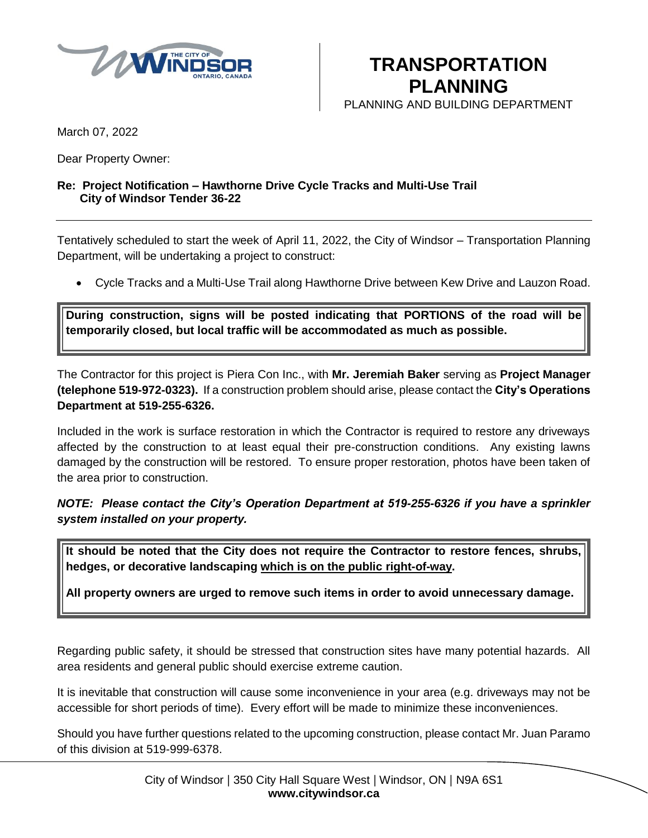

**TRANSPORTATION PLANNING**

PLANNING AND BUILDING DEPARTMENT

March 07, 2022

Dear Property Owner:

## **Re: Project Notification – Hawthorne Drive Cycle Tracks and Multi-Use Trail City of Windsor Tender 36-22**

Tentatively scheduled to start the week of April 11, 2022, the City of Windsor – Transportation Planning Department, will be undertaking a project to construct:

Cycle Tracks and a Multi-Use Trail along Hawthorne Drive between Kew Drive and Lauzon Road.

**During construction, signs will be posted indicating that PORTIONS of the road will be temporarily closed, but local traffic will be accommodated as much as possible.**

The Contractor for this project is Piera Con Inc., with **Mr. Jeremiah Baker** serving as **Project Manager (telephone 519-972-0323).** If a construction problem should arise, please contact the **City's Operations Department at 519-255-6326.** 

Included in the work is surface restoration in which the Contractor is required to restore any driveways affected by the construction to at least equal their pre-construction conditions. Any existing lawns damaged by the construction will be restored. To ensure proper restoration, photos have been taken of the area prior to construction.

*NOTE: Please contact the City's Operation Department at 519-255-6326 if you have a sprinkler system installed on your property.*

**It should be noted that the City does not require the Contractor to restore fences, shrubs, hedges, or decorative landscaping which is on the public right-of-way.**

**All property owners are urged to remove such items in order to avoid unnecessary damage.**

Regarding public safety, it should be stressed that construction sites have many potential hazards. All area residents and general public should exercise extreme caution.

It is inevitable that construction will cause some inconvenience in your area (e.g. driveways may not be accessible for short periods of time). Every effort will be made to minimize these inconveniences.

Should you have further questions related to the upcoming construction, please contact Mr. Juan Paramo of this division at 519-999-6378.